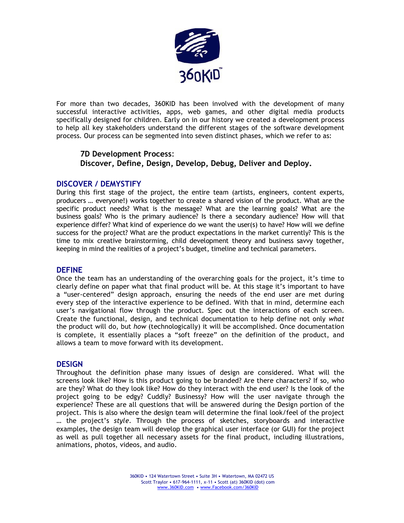

For more than two decades, 360KID has been involved with the development of many successful interactive activities, apps, web games, and other digital media products specifically designed for children. Early on in our history we created a development process to help all key stakeholders understand the different stages of the software development process. Our process can be segmented into seven distinct phases, which we refer to as:

# **7D Development Process**: **Discover, Define, Design, Develop, Debug, Deliver and Deploy.**

# **DISCOVER / DEMYSTIFY**

During this first stage of the project, the entire team (artists, engineers, content experts, producers … everyone!) works together to create a shared vision of the product. What are the specific product needs? What is the message? What are the learning goals? What are the business goals? Who is the primary audience? Is there a secondary audience? How will that experience differ? What kind of experience do we want the user(s) to have? How will we define success for the project? What are the product expectations in the market currently? This is the time to mix creative brainstorming, child development theory and business savvy together, keeping in mind the realities of a project's budget, timeline and technical parameters.

## **DEFINE**

Once the team has an understanding of the overarching goals for the project, it's time to clearly define on paper what that final product will be. At this stage it's important to have a "user-centered" design approach, ensuring the needs of the end user are met during every step of the interactive experience to be defined. With that in mind, determine each user's navigational flow through the product. Spec out the interactions of each screen. Create the functional, design, and technical documentation to help define not only *what* the product will do, but *how* (technologically) it will be accomplished. Once documentation is complete, it essentially places a "soft freeze" on the definition of the product, and allows a team to move forward with its development.

## **DESIGN**

Throughout the definition phase many issues of design are considered. What will the screens look like? How is this product going to be branded? Are there characters? If so, who are they? What do they look like? How do they interact with the end user? Is the look of the project going to be edgy? Cuddly? Businessy? How will the user navigate through the experience? These are all questions that will be answered during the Design portion of the project. This is also where the design team will determine the final look/feel of the project … the project's *style*. Through the process of sketches, storyboards and interactive examples, the design team will develop the graphical user interface (or GUI) for the project as well as pull together all necessary assets for the final product, including illustrations, animations, photos, videos, and audio.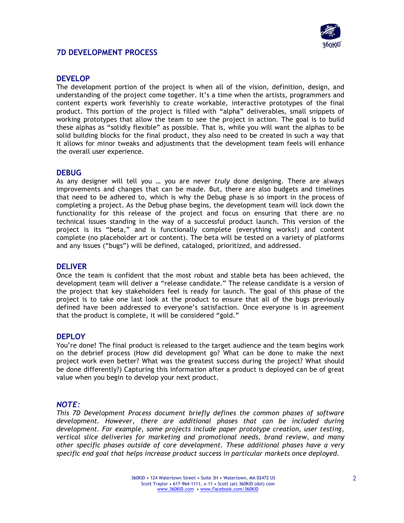

# **7D DEVELOPMENT PROCESS**

# **DEVELOP**

The development portion of the project is when all of the vision, definition, design, and understanding of the project come together. It's a time when the artists, programmers and content experts work feverishly to create workable, interactive prototypes of the final product. This portion of the project is filled with "alpha" deliverables, small snippets of working prototypes that allow the team to see the project in action. The goal is to build these alphas as "solidly flexible" as possible. That is, while you will want the alphas to be solid building blocks for the final product, they also need to be created in such a way that it allows for minor tweaks and adjustments that the development team feels will enhance the overall user experience.

# **DEBUG**

As any designer will tell you … you are never *truly* done designing. There are always improvements and changes that can be made. But, there are also budgets and timelines that need to be adhered to, which is why the Debug phase is so import in the process of completing a project. As the Debug phase begins, the development team will lock down the functionality for this release of the project and focus on ensuring that there are no technical issues standing in the way of a successful product launch. This version of the project is its "beta," and is functionally complete (everything works!) and content complete (no placeholder art or content). The beta will be tested on a variety of platforms and any issues ("bugs") will be defined, cataloged, prioritized, and addressed.

## **DELIVER**

Once the team is confident that the most robust and stable beta has been achieved, the development team will deliver a "release candidate." The release candidate is a version of the project that key stakeholders feel is ready for launch. The goal of this phase of the project is to take one last look at the product to ensure that all of the bugs previously defined have been addressed to everyone's satisfaction. Once everyone is in agreement that the product is complete, it will be considered "gold."

## **DEPLOY**

You're done! The final product is released to the target audience and the team begins work on the debrief process (How did development go? What can be done to make the next project work even better? What was the greatest success during the project? What should be done differently?) Capturing this information after a product is deployed can be of great value when you begin to develop your next product.

## *NOTE:*

*This 7D Development Process document briefly defines the common phases of software development. However, there are additional phases that can be included during development. For example, some projects include paper prototype creation, user testing, vertical slice deliveries for marketing and promotional needs, brand review, and many other specific phases outside of core development. These additional phases have a very specific end goal that helps increase product success in particular markets once deployed.*